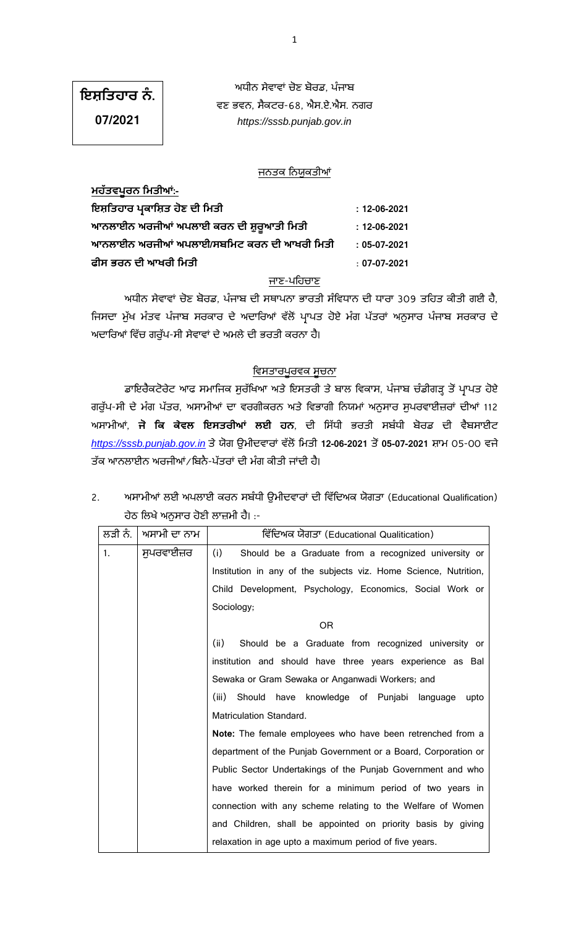# **.**

ਅਧੀਨ ਸੇਵਾਵਾਂ ਚੋਣ ਬੋਰਡ. ਪੰਜਾਬ ਵਣ ਭਵਨ, ਸੈਕਟਰ-68, ਐਸ.ਏ.ਐਸ. ਨਗਰ *https://sssb.punjab.gov.in*

**07/2021**

## ਜਨਤਕ ਨਿਯੁਕਤੀਆਂ

| <u> ਮਹਤਵਪੂਰਨ  ਮਿਤਾਆ:-</u>                  |                    |
|--------------------------------------------|--------------------|
| ਇਸ਼ਤਿਹਾਰ ਪ੍ਰਕਾਸ਼ਿਤ ਹੋਣ ਦੀ ਮਿਤੀ             | $: 12 - 06 - 2021$ |
| ਆਨਲਾਈਨ ਅਰਜੀਆਂ ਅਪਲਾਈ ਕਰਨ ਦੀ ਸ਼ੁਰੁਆਤੀ ਮਿਤੀ   | $: 12 - 06 - 2021$ |
| ਆਨਲਾਈਨ ਅਰਜੀਆਂ ਅਪਲਾਈ/ਸਬਮਿਟ ਕਰਨ ਦੀ ਆਖਰੀ ਮਿਤੀ | $: 05-07-2021$     |
| ਫੀਸ ਭਰਨ ਦੀ ਆਖਰੀ ਮਿਤੀ                       | $: 07-07-2021$     |

#### ਜਾਣ-ਪਹਿਚਾਣ

ਅਧੀਨ ਸੇਵਾਵਾਂ ਚੋਣ ਬੋਰਡ, ਪੰਜਾਬ ਦੀ ਸਥਾਪਨਾ ਭਾਰਤੀ ਸੰਵਿਧਾਨ ਦੀ ਧਾਰਾ 309 ਤਹਿਤ ਕੀਤੀ ਗਈ ਹੈ, ਜਿਸਦਾ ਮੁੱਖ ਮੰਤਵ ਪੰਜਾਬ ਸਰਕਾਰ ਦੇ ਅਦਾਰਿਆਂ ਵੱਲੋਂ ਪ੍ਰਾਪਤ ਹੋਏ ਮੰਗ ਪੱਤਰਾਂ ਅਨੁਸਾਰ ਪੰਜਾਬ ਸਰਕਾਰ ਦੇ ਅਦਾਰਿਆਂ ਵਿੱਚ ਗਰੁੱਪ-ਸੀ ਸੇਵਾਵਾਂ ਦੇ ਅਮਲੇ ਦੀ ਭਰਤੀ ਕਰਨਾ ਹੈ।

## <u>ਵਿਸਤਾਰਪੂਰਵਕ ਸੂਚਨਾ</u>

ਡਾਇਰੈਕਟੋਰੇਟ ਆਫ ਸਮਾਜਿਕ ਸੁਰੱਖਿਆ ਅਤੇ ਇਸਤਰੀ ਤੇ ਬਾਲ ਵਿਕਾਸ, ਪੰਜਾਬ ਚੰਡੀਗੜ੍ਹ ਤੋਂ ਪ੍ਰਾਪਤ ਹੋਏ ਗਰੁੱਪ-ਸੀ ਦੇ ਮੰਗ ਪੱਤਰ, ਅਸਾਮੀਆਂ ਦਾ ਵਰਗੀਕਰਨ ਅਤੇ ਵਿਭਾਗੀ ਨਿਯਮਾਂ ਅਨੁਸਾਰ ਸੁਪਰਵਾਈਜ਼ਰਾਂ ਦੀਆਂ 112 ਅਸਾਮੀਆਂ, **ਜੋ ਕਿ ਕੇਵਲ ਇਸਤਰੀਆਂ ਲਈ ਹਨ**, ਦੀ ਸਿੱਧੀ ਭਰਤੀ ਸਬੰਧੀ ਬੋਰਡ ਦੀ ਵੈਬਸਾਈਟ <u>[https://sssb.punjab.gov.in](https://sssb.punjab.gov.in/)</u> ਤੇ ਯੋਗ ਉਮੀਦਵਾਰਾਂ ਵੱਲੋਂ ਮਿਤੀ 12-06-2021 ਤੋਂ 05-07-2021 ਸ਼ਾਮ 05-00 ਵਜੇ ਤੱਕ ਆਨਲਾਈਨ ਅਰਜੀਆਂ ⁄ ਬਿਨੈ-ਪੱਤਰਾਂ ਦੀ ਮੰਗ ਕੀਤੀ ਜਾਂਦੀ ਹੈ।

2. ਅਸਾਮੀਆਂ ਲਈ ਅਪਲਾਈ ਕਰਨ ਸਬੰਧੀ ਉਮੀਦਵਾਰਾਂ ਦੀ ਵਿੱਦਿਅਕ ਯੋਗਤਾ (Educational Qualification) ਹੇਠ ਲਿਖੇ ਅਨੁਸਾਰ ਹੋਣੀ ਲਾਜ਼ਮੀ ਹੈ। :-

| ਲੜੀ ਨੰ.     | ਅਸਾਮੀ ਦਾ ਨਾਮ | ਵਿੱਦਿਅਕ ਯੋਗਤਾ (Educational Qualitication)                        |  |
|-------------|--------------|------------------------------------------------------------------|--|
| $1_{\cdot}$ | ਸੁਪਰਵਾਈਜ਼ਰ   | (i)<br>Should be a Graduate from a recognized university or      |  |
|             |              | Institution in any of the subjects viz. Home Science, Nutrition, |  |
|             |              | Child Development, Psychology, Economics, Social Work or         |  |
|             |              | Sociology;                                                       |  |
|             |              | <b>OR</b>                                                        |  |
|             |              | (ii)<br>Should be a Graduate from recognized university or       |  |
|             |              | institution and should have three years experience as Bal        |  |
|             |              | Sewaka or Gram Sewaka or Anganwadi Workers; and                  |  |
|             |              | (iii)<br>Should have knowledge of Punjabi language<br>upto       |  |
|             |              | Matriculation Standard.                                          |  |
|             |              | Note: The female employees who have been retrenched from a       |  |
|             |              | department of the Punjab Government or a Board, Corporation or   |  |
|             |              | Public Sector Undertakings of the Punjab Government and who      |  |
|             |              | have worked therein for a minimum period of two years in         |  |
|             |              | connection with any scheme relating to the Welfare of Women      |  |
|             |              | and Children, shall be appointed on priority basis by giving     |  |
|             |              | relaxation in age upto a maximum period of five years.           |  |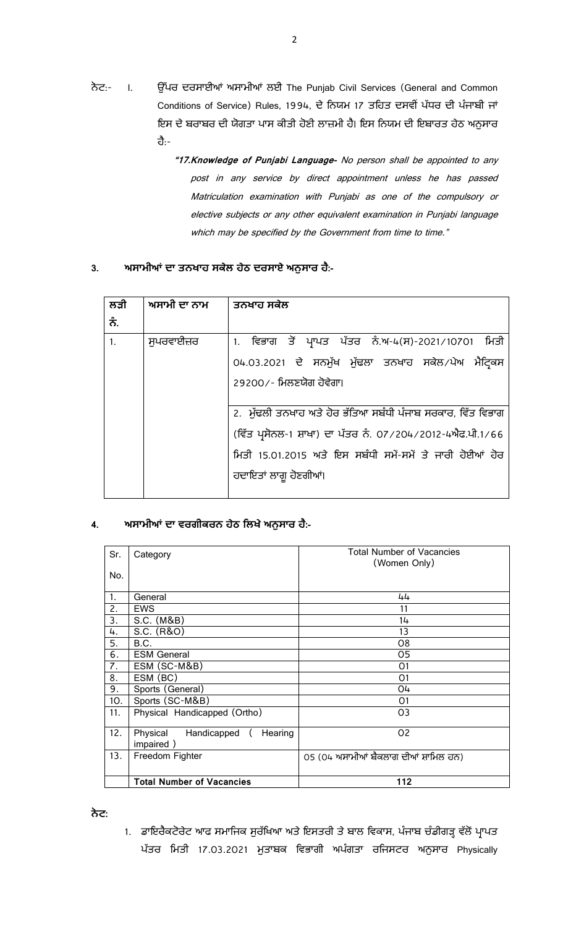- ਨੋਟ:- I. ਉੱਪਰ ਦਰਸਾਈਆਂ ਅਸਾਮੀਆਂ ਲਈ The Punjab Civil Services (General and Common Conditions of Service) Rules, 1994, ਦੇ ਨਿਯਮ 17 ਤਹਿਤ ਦਸਵੀਂ ਪੱਧਰ ਦੀ ਪੰਜਾਬੀ ਜਾਂ ਇਸ ਦੇ ਬਰਾਬਰ ਦੀ ਯੋਗਤਾ ਪਾਸ ਕੀਤੀ ਹੋਣੀ ਲਾਜ਼ਮੀ ਹੈ। ਇਸ ਨਿਯਮ ਦੀ ਇਬਾਰਤ ਹੇਠ ਅਨੁਸਾਰ <u>ਰੈ:-</u>
	- **"17.Knowledge of Punjabi Language-** No person shall be appointed to any post in any service by direct appointment unless he has passed Matriculation examination with Punjabi as one of the compulsory or elective subjects or any other equivalent examination in Punjabi language which may be specified by the Government from time to time."

## 3. ਅਸਾਮੀਆਂ ਦਾ ਤਨਖਾਹ ਸਕੇਲ ਹੇਠ ਦਰਸਾਏ ਅਨੁਸਾਰ ਹੈ:-

| ਲੜੀ            | ਅਸਾਮੀ ਦਾ ਨਾਮ | ਤਨਖਾਹ ਸਕੇਲ                                                  |
|----------------|--------------|-------------------------------------------------------------|
| ਨੰ.            |              |                                                             |
| 1 <sub>1</sub> | ਸਪਰਵਾਈਜ਼ਰ    | 1. ਵਿਭਾਗ ਤੋਂ ਪ੍ਰਾਪਤ ਪੱਤਰ ਨੰ.ਅ-4(ਸ)-2021/10701 ਮਿਤੀ          |
|                |              | 04.03.2021 ਦੇ ਸਨਮੁੱਖ ਮੁੱਢਲਾ ਤਨਖਾਹ ਸਕੇਲ ਪੇਅ ਮੈਟ੍ਰਿਕਸ         |
|                |              | 29200⁄- ਮਿਲਣਯੋਗ ਹੋਵੇਗਾ।                                     |
|                |              |                                                             |
|                |              | 2. ਮੁੱਢਲੀ ਤਨਖਾਹ ਅਤੇ ਹੋਰ ਭੱਤਿਆ ਸਬੰਧੀ ਪੰਜਾਬ ਸਰਕਾਰ, ਵਿੱਤ ਵਿਭਾਗ |
|                |              | (ਵਿੱਤ ਪ੍ਰਸੋਨਲ-1 ਸ਼ਾਖਾ) ਦਾ ਪੱਤਰ ਨੰ. 07/204/2012-4ਐਫ.ਪੀ.1/66  |
|                |              | ਮਿਤੀ 15.01.2015 ਅਤੇ ਇਸ ਸਬੰਧੀ ਸਮੇਂ-ਸਮੇਂ ਤੇ ਜਾਰੀ ਹੋਈਆਂ ਹੋਰ    |
|                |              | ਹਦਾਇਤਾਂ ਲਾਗੁ ਹੋਣਗੀਆਂ।                                       |
|                |              |                                                             |

## 4. ਅਸਾਮੀਆਂ ਦਾ ਵਰਗੀਕਰਨ ਹੇਠ ਲਿਖੇ ਅਨੁਸਾਰ ਹੈ:-

| Sr. | Category                                        | <b>Total Number of Vacancies</b><br>(Women Only) |
|-----|-------------------------------------------------|--------------------------------------------------|
| No. |                                                 |                                                  |
| 1.  | General                                         | 44                                               |
| 2.  | <b>EWS</b>                                      | 11                                               |
| 3.  | S.C. (M&B)                                      | 14                                               |
| 4.  | S.C. (R&O)                                      | 13                                               |
| 5.  | B.C.                                            | 08                                               |
| 6.  | <b>ESM General</b>                              | 05                                               |
| 7.  | ESM (SC-M&B)                                    | 01                                               |
| 8.  | ESM (BC)                                        | O <sub>1</sub>                                   |
| 9.  | Sports (General)                                | 04                                               |
| 10. | Sports (SC-M&B)                                 | 01                                               |
| 11. | Physical Handicapped (Ortho)                    | O <sub>3</sub>                                   |
| 12. | Physical<br>Handicapped<br>Hearing<br>impaired) | 02                                               |
| 13. | Freedom Fighter                                 | 05 (04 ਅਸਾਮੀਆਂ ਬੈਕਲਾਗ ਦੀਆਂ ਸ਼ਾਮਿਲ ਹਨ)            |
|     | <b>Total Number of Vacancies</b>                | 112                                              |

 **:**

1. ਡਾਇਰੈਕਟੋਰੇਟ ਆਫ ਸਮਾਜਿਕ ਸੁਰੱਖਿਆ ਅਤੇ ਇਸਤਰੀ ਤੇ ਬਾਲ ਵਿਕਾਸ, ਪੰਜਾਬ ਚੰਡੀਗੜ੍ਹ ਵੱਲੋਂ ਪ੍ਰਾਪਤ ਪੱਤਰ ਮਿਤੀ 17.03.2021 ਮੁਤਾਬਕ ਵਿਭਾਗੀ ਅਪੰਗਤਾ ਰਜਿਸਟਰ ਅਨੁਸਾਰ Physically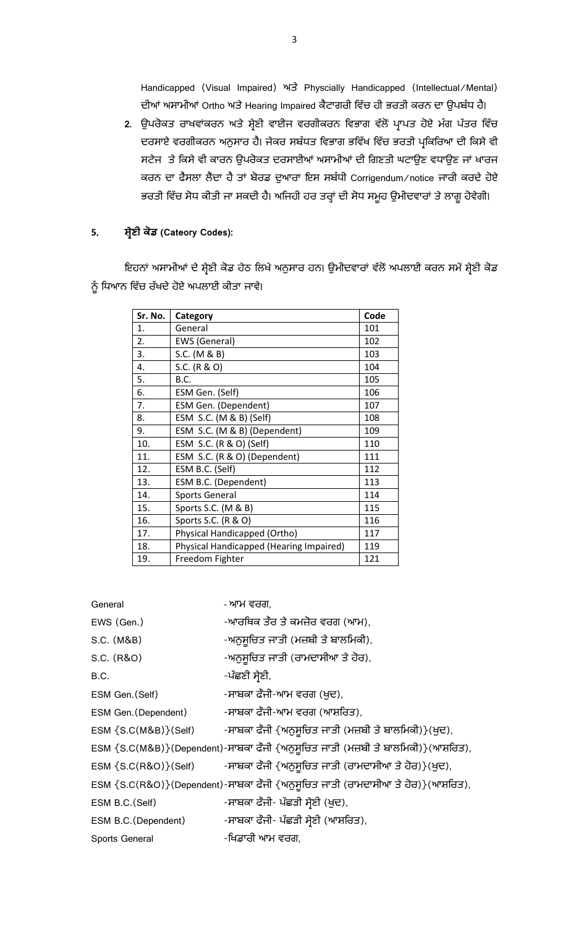Handicapped (Visual Impaired) ਅਤੇ Physcially Handicapped (Intellectual/Mental) ਦੀਆਂ ਅਸਾਮੀਆਂ Ortho ਅਤੇ Hearing Impaired ਕੈਟਾਗਰੀ ਵਿੱਚ ਹੀ ਭਰਤੀ ਕਰਨ ਦਾ ਉਪਬੰਧ ਹੈ।

2. ਉਪਰੋਕਤ ਰਾਖਵਾਂਕਰਨ ਅਤੇ ਸ਼੍ਰੇਣੀ ਵਾਈਜ ਵਰਗੀਕਰਨ ਵਿਭਾਗ ਵੱਲੋਂ ਪ੍ਰਾਪਤ ਹੋਏ ਮੰਗ ਪੱਤਰ ਵਿੱਚ ਦਰਸਾਏ ਵਰਗੀਕਰਨ ਅਨੁਸਾਰ ਹੈ। ਜੇਕਰ ਸਬੰਧਤ ਵਿਭਾਗ ਭਵਿੱਖ ਵਿੱਚ ਭਰਤੀ ਪ੍ਰਕਿਰਿਆ ਦੀ ਕਿਸੇ ਵੀ ਸਟੇਜ ਤੇ ਕਿਸੇ ਵੀ ਕਾਰਨ ਉਪਰੋਕਤ ਦਰਸਾਈਆਂ ਅਸਾਮੀਆਂ ਦੀ ਗਿਣਤੀ ਘਟਾਉਣ ਵਧਾਉਣ ਜਾਂ ਖਾਰਜ ਕਰਨ ਦਾ ਫੈਸਲਾ ਲੈਂਦਾ ਹੈ ਤਾਂ ਬੋਰਡ ਦੁਆਰਾ ਇਸ ਸਬੰਧੀ Corrigendum/notice ਜਾਰੀ ਕਰਦੇ ਹੋਏ ਭਰਤੀ ਵਿੱਚ ਸੋਧ ਕੀਤੀ ਜਾ ਸਕਦੀ ਹੈ। ਅਜਿਹੀ ਹਰ ਤਰ੍ਹਾਂ ਦੀ ਸੋਧ ਸਮੂਹ ਉਮੀਦਵਾਰਾਂ ਤੇ ਲਾਗੂ ਹੋਵੇਗੀ।

## **5**. **ਣ (Cateory Codes):**

ਇਹਨਾਂ ਅਸਾਮੀਆਂ ਦੇ ਸ਼੍ਰੇਣੀ ਕੋਡ ਹੇਠ ਲਿਖੇ ਅਨੁਸਾਰ ਹਨ। ਉਮੀਦਵਾਰਾਂ ਵੱਲੋਂ ਅਪਲਾਈ ਕਰਨ ਸਮੇਂ ਸ਼੍ਰੇਣੀ ਕੋਡ ਨੂੰ ਧਿਆਨ ਵਿੱਚ ਰੱਖਦੇ ਹੋਏ ਅਪਲਾਈ ਕੀਤਾ ਜਾਵੇ।

| Sr. No. | Category                                | Code |
|---------|-----------------------------------------|------|
| 1.      | General                                 | 101  |
| 2.      | <b>EWS (General)</b>                    | 102  |
| 3.      | S.C. (M & B)                            | 103  |
| 4.      | S.C. (R & O)                            | 104  |
| 5.      | B.C.                                    | 105  |
| 6.      | ESM Gen. (Self)                         | 106  |
| 7.      | ESM Gen. (Dependent)                    | 107  |
| 8.      | ESM S.C. (M & B) (Self)                 | 108  |
| 9.      | ESM S.C. (M & B) (Dependent)            | 109  |
| 10.     | ESM S.C. (R & O) (Self)                 | 110  |
| 11.     | ESM S.C. (R & O) (Dependent)            | 111  |
| 12.     | ESM B.C. (Self)                         | 112  |
| 13.     | ESM B.C. (Dependent)                    | 113  |
| 14.     | <b>Sports General</b>                   | 114  |
| 15.     | Sports S.C. (M & B)                     | 115  |
| 16.     | Sports S.C. (R & O)                     | 116  |
| 17.     | Physical Handicapped (Ortho)            | 117  |
| 18.     | Physical Handicapped (Hearing Impaired) | 119  |
| 19.     | Freedom Fighter                         | 121  |

| General                      | - ਆਮ ਵਰਗ,                                                                        |
|------------------------------|----------------------------------------------------------------------------------|
|                              |                                                                                  |
| EWS (Gen.)                   | -ਆਰਥਿਕ ਤੌਰ ਤੇ ਕਮਜ਼ੋਰ ਵਰਗ (ਆਮ),                                                   |
| S.C. (M&B)                   | -ਅਨੁਸੁਚਿਤ ਜਾਤੀ (ਮਜ਼ਬੀ ਤੇ ਬਾਲਮਿਕੀ),                                               |
| S.C. (R&O)                   | -ਅਨੁਸੁਚਿਤ ਜਾਤੀ (ਰਾਮਦਾਸੀਆ ਤੇ ਹੋਰ),                                                |
| B.C.                         | -ਪੱਛਣੀ ਸੇਣੀ,                                                                     |
| ESM Gen. (Self)              | -ਸਾਬਕਾ ਫੌਜੀ-ਆਮ ਵਰਗ (ਖ਼ਦ),                                                        |
| ESM Gen. (Dependent)         | -ਸਾਬਕਾ ਫੌਜੀ-ਆਮ ਵਰਗ (ਆਸ਼ਰਿਤ),                                                     |
| ESM {S.C(M&B)}(Self)         | -ਸਾਬਕਾ ਫੌਜੀ {ਅਨੁਸੁਚਿਤ ਜਾਤੀ (ਮਜ਼ਬੀ ਤੇ ਬਾਲਮਿਕੀ)}(ਖੁਦ),                             |
|                              | ESM {S.C(M&B)}(Dependent)-ਸਾਬਕਾ ਫੌਜੀ {ਅਨੁਸੁਚਿਤ ਜਾਤੀ (ਮਜ਼ਬੀ ਤੇ ਬਾਲਮਿਕੀ)}(ਆਸ਼ਰਿਤ), |
| $ESM \$ $(S.C(R&O)$ $(Self)$ | -ਸਾਬਕਾ ਫੌਜੀ {ਅਨੁਸੁਚਿਤ ਜਾਤੀ (ਰਾਮਦਾਸੀਆ ਤੇ ਹੋਰ)}(ਖੁਦ),                              |
|                              | ESM {S.C(R&O)}(Dependent)-ਸਾਬਕਾ ਫੌਜੀ {ਅਨੁਸੂਚਿਤ ਜਾਤੀ (ਰਾਮਦਾਸੀਆ ਤੇ ਹੋਰ)}(ਆਸ਼ਰਿਤ),  |
| ESM B.C. (Self)              | -ਸਾਬਕਾ ਫੌਜੀ- ਪੱਛੜੀ ਸ੍ਰੇਣੀ (ਖ਼ੁਦ),                                                |
| ESM B.C. (Dependent)         | -ਸਾਬਕਾ ਫੌਜੀ- ਪੱਛੜੀ ਸ੍ਰੇਣੀ (ਆਸ਼ਰਿਤ),                                              |
| Sports General               | -ਖਿਡਾਰੀ ਆਮ ਵਰਗ,                                                                  |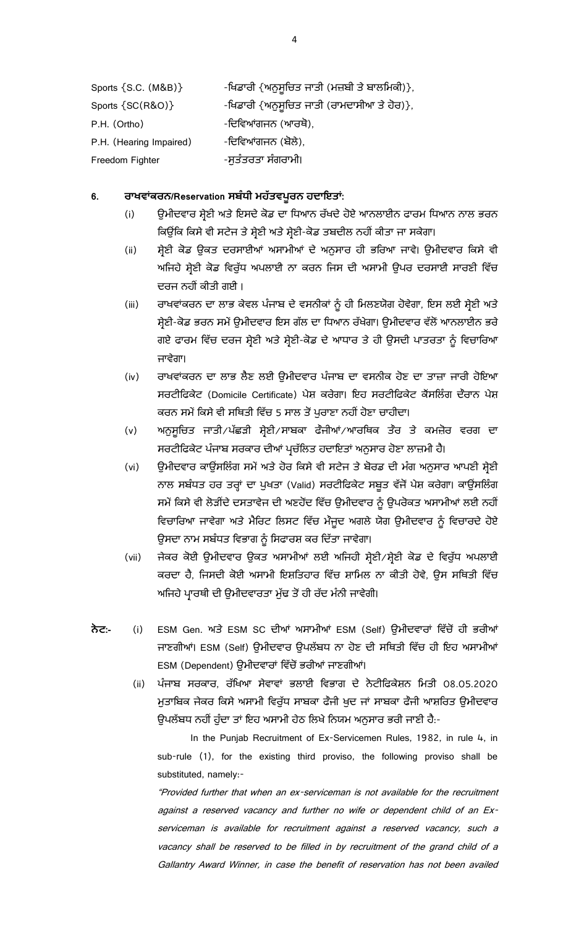| Sports {S.C. (M&B)}     | -ਖਿਡਾਰੀ {ਅਨੁਸੁਚਿਤ ਜਾਤੀ (ਮਜ਼ਬੀ ਤੇ ਬਾਲਮਿਕੀ)}, |
|-------------------------|---------------------------------------------|
| Sports {SC(R&O)}        | -ਖਿਡਾਰੀ {ਅਨੁਸੁਚਿਤ ਜਾਤੀ (ਰਾਮਦਾਸੀਆ ਤੇ ਹੋਰ)},  |
| P.H. (Ortho)            | -ਦਿਵਿਆਂਗਜਨ (ਆਰਥੋ),                          |
| P.H. (Hearing Impaired) | -ਦਿਵਿਆਂਗਜਨ (ਬੋਲੇ),                          |
| Freedom Fighter         | -ਸੁਤੰਤਰਤਾ ਸੰਗਰਾਮੀ।                          |

## 6. ਰਾਖਵਾਂਕਰਨ/Reservation ਸਬੰਧੀ ਮਹੱਤਵਪੂਰਨ ਹਦਾਇਤਾਂ:

- (i) ਉਮੀਦਵਾਰ ਸ਼੍ਰੇਣੀ ਅਤੇ ਇਸਦੇ ਕੋਡ ਦਾ ਧਿਆਨ ਰੱਖਦੇ ਹੋਏ ਆਨਲਾਈਨ ਫਾਰਮ ਧਿਆਨ ਨਾਲ ਭਰਨ ਕਿਉਂਕਿ ਕਿਸੇ ਵੀ ਸਟੇਜ ਤੇ ਸ਼੍ਰੇਣੀ ਅਤੇ ਸ਼੍ਰੇਣੀ-ਕੋਡ ਤਬਦੀਲ ਨਹੀਂ ਕੀਤਾ ਜਾ ਸਕੇਗਾ।
- (ii) ਸ਼੍ਰੇਣੀ ਕੋਡ ਉਕਤ ਦਰਸਾਈਆਂ ਅਸਾਮੀਆਂ ਦੇ ਅਨੁਸਾਰ ਹੀ ਭਰਿਆ ਜਾਵੇ। ਉਮੀਦਵਾਰ ਕਿਸੇ ਵੀ ਅਜਿਹੇ ਸ਼੍ਰੇਣੀ ਕੋਡ ਵਿਰੁੱਧ ਅਪਲਾਈ ਨਾ ਕਰਨ ਜਿਸ ਦੀ ਅਸਾਮੀ ਉਪਰ ਦਰਸਾਈ ਸਾਰਣੀ ਵਿੱਚ ਦਰਜ ਨਹੀਂ ਕੀਤੀ ਗਈ।
- (iii) ਰਾਖਵਾਂਕਰਨ ਦਾ ਲਾਭ ਕੇਵਲ ਪੰਜਾਬ ਦੇ ਵਸਨੀਕਾਂ ਨੂੰ ਹੀ ਮਿਲਣਯੋਗ ਹੋਵੇਗਾ, ਇਸ ਲਈ ਸ੍ਰੇਣੀ ਅਤੇ ਸ਼੍ਰੇਣੀ-ਕੋਡ ਭਰਨ ਸਮੇਂ ਉਮੀਦਵਾਰ ਇਸ ਗੱਲ ਦਾ ਧਿਆਨ ਰੱਖੇਗਾ। ਉਮੀਦਵਾਰ ਵੱਲੋਂ ਆਨਲਾਈਨ ਭਰੇ ਗਏ ਫਾਰਮ ਵਿੱਚ ਦਰਜ ਸ਼੍ਰੇਣੀ ਅਤੇ ਸ਼੍ਰੇਣੀ-ਕੋਡ ਦੇ ਆਧਾਰ ਤੇ ਹੀ ਉਸਦੀ ਪਾਤਰਤਾ ਨੂੰ ਵਿਚਾਰਿਆ ਜਾਵੇਗਾ।
- (iv) ਰਾਖਵਾਂਕਰਨ ਦਾ ਲਾਭ ਲੈਣ ਲਈ ਉਮੀਦਵਾਰ ਪੰਜਾਬ ਦਾ ਵਸਨੀਕ ਹੋਣ ਦਾ ਤਾਜ਼ਾ ਜਾਰੀ ਹੋਇਆ ਸਰਟੀਫਿਕੇਟ (Domicile Certificate) ਪੇਸ਼ ਕਰੇਗਾ। ਇਹ ਸਰਟੀਫਿਕੇਟ ਕੈਂਸਲਿੰਗ ਦੌਰਾਨ ਪੇਸ਼ ਕਰਨ ਸਮੇਂ ਕਿਸੇ ਵੀ ਸਥਿਤੀ ਵਿੱਚ 5 ਸਾਲ ਤੋਂ ਪੁਰਾਣਾ ਨਹੀਂ ਹੋਣਾ ਚਾਹੀਦਾ।
- (v) ਅਨੁਸੂਚਿਤ ਜਾਤੀ/ਪੱਛੜੀ ਸ਼੍ਰੇਣੀ/ਸਾਬਕਾ ਫੌਜੀਆਂ/ਆਰਥਿਕ ਤੌਰ ਤੇ ਕਮਜ਼ੋਰ ਵਰਗ ਦਾ ਸਰਟੀਫਿਕੇਟ ਪੰਜਾਬ ਸਰਕਾਰ ਦੀਆਂ ਪ੍ਰਚੱਲਿਤ ਹਦਾਇਤਾਂ ਅਨੁਸਾਰ ਹੋਣਾ ਲਾਜ਼ਮੀ ਹੈ।
- (vi) ਉਮੀਦਵਾਰ ਕਾਊਂਸਲਿੰਗ ਸਮੇਂ ਅਤੇ ਹੋਰ ਕਿਸੇ ਵੀ ਸਟੇਜ ਤੇ ਬੋਰਡ ਦੀ ਮੰਗ ਅਨੁਸਾਰ ਆਪਣੀ ਸ਼੍ਰੇਣੀ ਨਾਲ ਸਬੰਧਤ ਹਰ ਤਰ੍ਹਾਂ ਦਾ ਪੁਖਤਾ (Valid) ਸਰਟੀਫਿਕੇਟ ਸਬੂਤ ਵੱਜੋਂ ਪੇਸ਼ ਕਰੇਗਾ। ਕਾਉਂਸਲਿੰਗ ਸਮੇਂ ਕਿਸੇ ਵੀ ਲੋੜੀਂਦੇ ਦਸਤਾਵੇਜ ਦੀ ਅਣਹੋਂਦ ਵਿੱਚ ਉਮੀਦਵਾਰ ਨੂੰ ਉਪਰੋਕਤ ਅਸਾਮੀਆਂ ਲਈ ਨਹੀਂ ਵਿਚਾਰਿਆ ਜਾਵੇਗਾ ਅਤੇ ਮੈਰਿਟ ਲਿਸਟ ਵਿੱਚ ਮੌਜੂਦ ਅਗਲੇ ਯੋਗ ਉਮੀਦਵਾਰ ਨੂੰ ਵਿਚਾਰਦੇ ਹੋਏ ਉਸਦਾ ਨਾਮ ਸਬੰਧਤ ਵਿਭਾਗ ਨੂੰ ਸਿਫਾਰਸ਼ ਕਰ ਦਿੱਤਾ ਜਾਵੇਗਾ।
- (vii) ਜੇਕਰ ਕੋਈ ਉਮੀਦਵਾਰ ਉਕਤ ਅਸਾਮੀਆਂ ਲਈ ਅਜਿਹੀ ਸ਼੍ਰੇਣੀ / ਸ਼੍ਰੇਣੀ ਕੋਡ ਦੇ ਵਿਰੁੱਧ ਅਪਲਾਈ ਕਰਦਾ ਹੈ, ਜਿਸਦੀ ਕੋਈ ਅਸਾਮੀ ਇਸ਼ਤਿਹਾਰ ਵਿੱਚ ਸ਼ਾਮਿਲ ਨਾ ਕੀਤੀ ਹੋਵੇ, ਉਸ ਸਥਿਤੀ ਵਿੱਚ ਅਜਿਹੇ ਪ੍ਰਾਰਥੀ ਦੀ ਉਮੀਦਵਾਰਤਾ ਮੁੱਢ ਤੋਂ ਹੀ ਰੱਦ ਮੰਨੀ ਜਾਵੇਗੀ।
- **ਨੇਟ:-** (i) ESM Gen. ਅਤੇ ESM SC ਦੀਆਂ ਅਸਾਮੀਆਂ ESM (Self) ਉਮੀਦਵਾਰਾਂ ਵਿੱਚੋਂ ਹੀ ਭਰੀਆਂ ਜਾਣਗੀਆਂ। ESM (Self) ਉਮੀਦਵਾਰ ਉਪਲੱਬਧ ਨਾ ਹੋਣ ਦੀ ਸਥਿਤੀ ਵਿੱਚ ਹੀ ਇਹ ਅਸਾਮੀਆਂ ESM (Dependent) ਉਮੀਦਵਾਰਾਂ ਵਿੱਚੋਂ ਭਰੀਆਂ ਜਾਣਗੀਆਂ।
	- (ii) ਪੰਜਾਬ ਸਰਕਾਰ, ਰੱਖਿਆ ਸੇਵਾਵਾਂ ਭਲਾਈ ਵਿਭਾਗ ਦੇ ਨੋਟੀਫਿਕੇਸ਼ਨ ਮਿਤੀ 08.05.2020 ਮੁਤਾਬਿਕ ਜੇਕਰ ਕਿਸੇ ਅਸਾਮੀ ਵਿਰੁੱਧ ਸਾਬਕਾ ਫੌਜੀ ਖੁਦ ਜਾਂ ਸਾਬਕਾ ਫੌਜੀ ਆਸ਼ਰਿਤ ਉਮੀਦਵਾਰ ਉਪਲੱਬਧ ਨਹੀਂ ਹੁੰਦਾ ਤਾਂ ਇਹ ਅਸਾਮੀ ਹੇਠ ਲਿਖੇ ਨਿਯਮ ਅਨੁਸਾਰ ਭਰੀ ਜਾਣੀ ਹੈ:-

In the Punjab Recruitment of Ex-Servicemen Rules, 1982, in rule 4, in sub-rule (1), for the existing third proviso, the following proviso shall be substituted, namely:-

"Provided further that when an ex-serviceman is not available for the recruitment against a reserved vacancy and further no wife or dependent child of an Exserviceman is available for recruitment against a reserved vacancy, such a vacancy shall be reserved to be filled in by recruitment of the grand child of a Gallantry Award Winner, in case the benefit of reservation has not been availed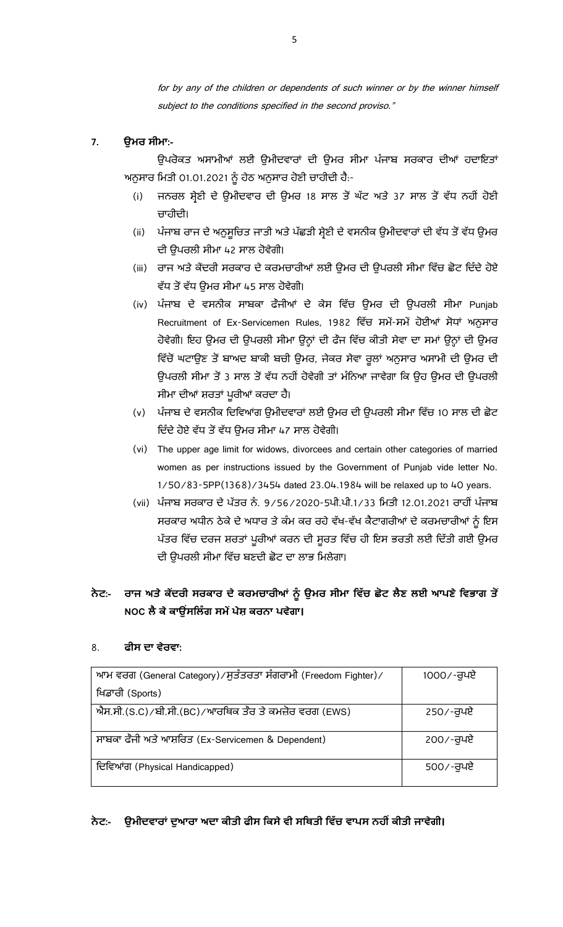for by any of the children or dependents of such winner or by the winner himself subject to the conditions specified in the second proviso."

## **7. ਉ :-**

ਉਪਰੋਕਤ ਅਸਾਮੀਆਂ ਲਈ ਉਮੀਦਵਾਰਾਂ ਦੀ ਉਮਰ ਸੀਮਾ ਪੰਜਾਬ ਸਰਕਾਰ ਦੀਆਂ ਹਦਾਇਤਾਂ ਅਨੁਸਾਰ ਮਿਤੀ 01.01.2021 ਨੂੰ ਹੇਠ ਅਨੁਸਾਰ ਹੋਣੀ ਚਾਹੀਦੀ ਹੈ:-

- (i) ਜਨਰਲ ਸ਼੍ਰੇਣੀ ਦੇ ਉਮੀਦਵਾਰ ਦੀ ਉਮਰ 18 ਸਾਲ ਤੋਂ ਘੱਟ ਅਤੇ 37 ਸਾਲ ਤੋਂ ਵੱਧ ਨਹੀਂ ਹੋਣੀ ਚਾਹੀਦੀ।
- (ii) ਪੰਜਾਬ ਰਾਜ ਦੇ ਅਨੁਸੂਚਿਤ ਜਾਤੀ ਅਤੇ ਪੱਛੜੀ ਸ਼੍ਰੇਣੀ ਦੇ ਵਸਨੀਕ ਉਮੀਦਵਾਰਾਂ ਦੀ ਵੱਧ ਤੋਂ ਵੱਧ ਉਮਰ ਦੀ ੳਪਰਲੀ ਸੀਮਾ 42 ਸਾਲ ਹੋਵੇਗੀ।
- (iii) ਰਾਜ ਅਤੇ ਕੇਂਦਰੀ ਸਰਕਾਰ ਦੇ ਕਰਮਚਾਰੀਆਂ ਲਈ ਉਮਰ ਦੀ ਉਪਰਲੀ ਸੀਮਾ ਵਿੱਚ ਛੋਟ ਦਿੰਦੇ ਹੋਏ ਵੱਧ ਤੋਂ ਵੱਧ ਉਮਰ ਸੀਮਾ 45 ਸਾਲ ਹੋਵੇਗੀ।
- (iv) ਪੰਜਾਬ ਦੇ ਵਸਨੀਕ ਸਾਬਕਾ ਫੌਜੀਆਂ ਦੇ ਕੇਸ ਵਿੱਚ ਉਮਰ ਦੀ ਉਪਰਲੀ ਸੀਮਾ Punjab Recruitment of Ex-Servicemen Rules, 1982 ਵਿੱਚ ਸਮੇਂ-ਸਮੇਂ ਹੋਈਆਂ ਸੋਧਾਂ ਅਨੁਸਾਰ ਹੋਵੇਗੀ। ਇਹ ਉਮਰ ਦੀ ਉਪਰਲੀ ਸੀਮਾ ਉਨ੍ਹਾਂ ਦੀ ਫੌਜ ਵਿੱਚ ਕੀਤੀ ਸੇਵਾ ਦਾ ਸਮਾਂ ਉਨ੍ਹਾਂ ਦੀ ਉਮਰ ਵਿੱਚੋਂ ਘਟਾਉਣ ਤੋਂ ਬਾਅਦ ਬਾਕੀ ਬਚੀ ਉਮਰ, ਜੇਕਰ ਸੇਵਾ ਰੁਲਾਂ ਅਨੁਸਾਰ ਅਸਾਮੀ ਦੀ ਉਮਰ ਦੀ ਉਪਰਲੀ ਸੀਮਾ ਤੋਂ 3 ਸਾਲ ਤੋਂ ਵੱਧ ਨਹੀਂ ਹੋਵੇਗੀ ਤਾਂ ਮੰਨਿਆ ਜਾਵੇਗਾ ਕਿ ਉਹ ਉਮਰ ਦੀ ਉਪਰਲੀ ਸੀਮਾ ਦੀਆਂ ਸ਼ਰਤਾਂ ਪੁਰੀਆਂ ਕਰਦਾ ਹੈ।
- (v) ਪੰਜਾਬ ਦੇ ਵਸਨੀਕ ਦਿਵਿਆਂਗ ਉਮੀਦਵਾਰਾਂ ਲਈ ਉਮਰ ਦੀ ਉਪਰਲੀ ਸੀਮਾ ਵਿੱਚ 10 ਸਾਲ ਦੀ ਛੋਟ ਦਿੰਦੇ ਹੋਏ ਵੱਧ ਤੋਂ ਵੱਧ ਉਮਰ ਸੀਮਾ 47 ਸਾਲ ਹੋਵੇਗੀ।
- (vi) The upper age limit for widows, divorcees and certain other categories of married women as per instructions issued by the Government of Punjab vide letter No. 1/50/83-5PP(1368)/3454 dated 23.04.1984 will be relaxed up to 40 years.
- (vii) ਪੰਜਾਬ ਸਰਕਾਰ ਦੇ ਪੱਤਰ ਨੰ. 9/56/2020-5ਪੀ.ਪੀ.1/33 ਮਿਤੀ 12.01.2021 ਰਾਹੀਂ ਪੰਜਾਬ ਸਰਕਾਰ ਅਧੀਨ ਠੇਕੇ ਦੇ ਅਧਾਰ ਤੇ ਕੰਮ ਕਰ ਰਹੇ ਵੱਖ-ਵੱਖ ਕੈਟਾਗਰੀਆਂ ਦੇ ਕਰਮਚਾਰੀਆਂ ਨੂੰ ਇਸ ਪੱਤਰ ਵਿੱਚ ਦਰਜ ਸ਼ਰਤਾਂ ਪੁਰੀਆਂ ਕਰਨ ਦੀ ਸੁਰਤ ਵਿੱਚ ਹੀ ਇਸ ਭਰਤੀ ਲਈ ਦਿੱਤੀ ਗਈ ਉਮਰ ਦੀ ਉਪਰਲੀ ਸੀਮਾ ਵਿੱਚ ਬਣਦੀ ਛੋਟ ਦਾ ਲਾਭ ਮਿਲੇਗਾ।

## ਨੇਟ:- ਰਾਜ ਅਤੇ ਕੇਂਦਰੀ ਸਰਕਾਰ ਦੇ ਕਰਮਚਾਰੀਆਂ ਨੂੰ ਉਮਰ ਸੀਮਾ ਵਿੱਚ ਛੋਟ ਲੈਣ ਲਈ ਆਪਣੇ ਵਿਭਾਗ ਤੋਂ <code>NOC</code> ਲੈ ਕੇ ਕਾਉਂਸਲਿੰਗ ਸਮੇਂ ਪੇਸ਼ ਕਰਨਾ ਪਵੇਗਾ।

## 8. **:**

| ਆਮ ਵਰਗ (General Category) / ਸੁਤੰਤਰਤਾ ਸੰਗਰਾਮੀ (Freedom Fighter) / | 1000/-ਰਪਏ |
|------------------------------------------------------------------|-----------|
| ਖਿਡਾਰੀ (Sports)                                                  |           |
| ਐਸ.ਸੀ.(S.C)/ਬੀ.ਸੀ.(BC)/ਆਰਥਿਕ ਤੌਰ ਤੇ ਕਮਜ਼ੋਰ ਵਰਗ (EWS)             | 250⁄-ਰਪਏ  |
| ਸਾਬਕਾ ਫੌਜੀ ਅਤੇ ਆਸ਼ਰਿਤ (Ex-Servicemen & Dependent)                | 200/-ਰੁਪਏ |
| ਦਿਵਿਆਂਗ (Physical Handicapped)                                   | 500⁄-ਰੁਪਏ |

## ਨੇਟ:- ਉਮੀਦਵਾਰਾਂ ਦੁਆਰਾ ਅਦਾ ਕੀਤੀ ਫੀਸ ਕਿਸੇ ਵੀ ਸਥਿਤੀ ਵਿੱਚ ਵਾਪਸ ਨਹੀਂ ਕੀਤੀ ਜਾਵੇਗੀ।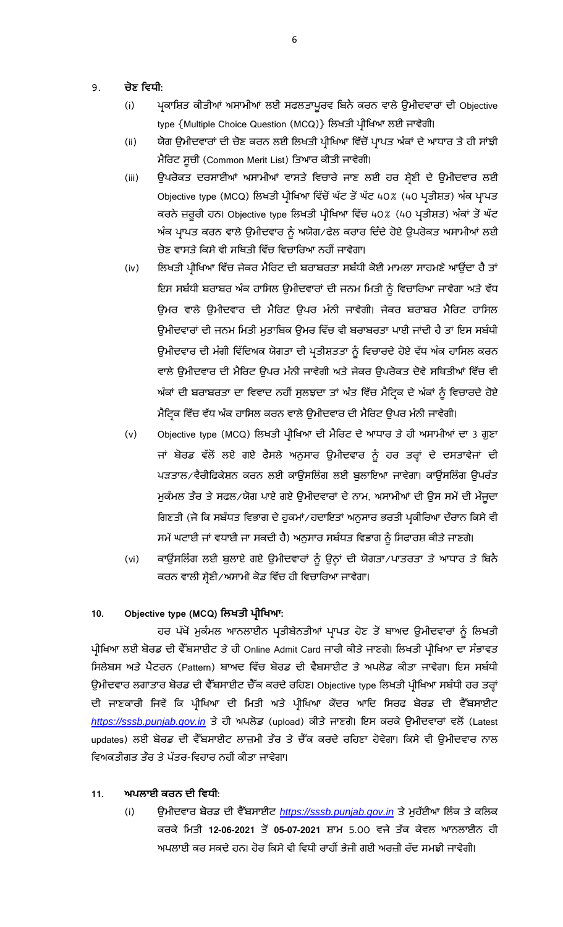## 9. **ਣ :**

- (i) ਪ੍ਰਕਾਸ਼ਿਤ ਕੀਤੀਆਂ ਅਸਾਮੀਆਂ ਲਈ ਸਫਲਤਾਪੁਰਵ ਬਿਨੈ ਕਰਨ ਵਾਲੇ ਉਮੀਦਵਾਰਾਂ ਦੀ Objective type {Multiple Choice Question (MCQ)} ਲਿਖਤੀ ਪ੍ਰੀਖਿਆ ਲਈ ਜਾਵੇਗੀ।
- (ii) ਯੋਗ ਉਮੀਦਵਾਰਾਂ ਦੀ ਚੋਣ ਕਰਨ ਲਈ ਲਿਖਤੀ ਪ੍ਰੀਖਿਆ ਵਿੱਚੋਂ ਪ੍ਰਾਪਤ ਅੰਕਾਂ ਦੇ ਆਧਾਰ ਤੇ ਹੀ ਸਾਂਝੀ ਮੈਰਿਟ ਸੂਚੀ (Common Merit List) ਤਿਆਰ ਕੀਤੀ ਜਾਵੇਗੀ।
- (iii) ਉਪਰੋਕਤ ਦਰਸਾਈਆਂ ਅਸਾਮੀਆਂ ਵਾਸਤੇ ਵਿਚਾਰੇ ਜਾਣ ਲਈ ਹਰ ਸ਼੍ਰੇਣੀ ਦੇ ਉਮੀਦਵਾਰ ਲਈ Objective type (MCQ) ਲਿਖਤੀ ਪ੍ਰੀਖਿਆ ਵਿੱਚੋਂ ਘੱਟ ਤੋਂ ਘੱਟ 40% (40 ਪ੍ਰਤੀਸ਼ਤ) ਅੰਕ ਪ੍ਰਾਪਤ ਕਰਨੇ ਜ਼ਰੂਰੀ ਹਨ। Objective type ਲਿਖਤੀ ਪ੍ਰੀਖਿਆ ਵਿੱਚ 40% (40 ਪ੍ਰਤੀਸ਼ਤ) ਅੰਕਾਂ ਤੋਂ ਘੱਟ ਅੰਕ ਪ੍ਰਾਪਤ ਕਰਨ ਵਾਲੇ ਉਮੀਦਵਾਰ ਨੂੰ ਅਯੋਗ∕ਫੇਲ ਕਰਾਰ ਦਿੰਦੇ ਹੋਏ ਉਪਰੋਕਤ ਅਸਾਮੀਆਂ ਲਈ ਚੋਣ ਵਾਸਤੇ ਕਿਸੇ ਵੀ ਸਥਿਤੀ ਵਿੱਚ ਵਿਚਾਰਿਆ ਨਹੀਂ ਜਾਵੇਗਾ।
- (iv) ਲਿਖਤੀ ਪ੍ਰੀਖਿਆ ਵਿੱਚ ਜੇਕਰ ਮੈਰਿਟ ਦੀ ਬਰਾਬਰਤਾ ਸਬੰਧੀ ਕੋਈ ਮਾਮਲਾ ਸਾਹਮਣੇ ਆਉਂਦਾ ਹੈ ਤਾਂ ਇਸ ਸਬੰਧੀ ਬਰਾਬਰ ਅੰਕ ਹਾਸਿਲ ਉਮੀਦਵਾਰਾਂ ਦੀ ਜਨਮ ਮਿਤੀ ਨੂੰ ਵਿਚਾਰਿਆ ਜਾਵੇਗਾ ਅਤੇ ਵੱਧ ਉਮਰ ਵਾਲੇ ਉਮੀਦਵਾਰ ਦੀ ਮੈਰਿਟ ਉਪਰ ਮੰਨੀ ਜਾਵੇਗੀ। ਜੇਕਰ ਬਰਾਬਰ ਮੈਰਿਟ ਹਾਸਿਲ ਉਮੀਦਵਾਰਾਂ ਦੀ ਜਨਮ ਮਿਤੀ ਮੁਤਾਬਿਕ ਉਮਰ ਵਿੱਚ ਵੀ ਬਰਾਬਰਤਾ ਪਾਈ ਜਾਂਦੀ ਹੈ ਤਾਂ ਇਸ ਸਬੰਧੀ ਉਮੀਦਵਾਰ ਦੀ ਮੰਗੀ ਵਿੱਦਿਅਕ ਯੋਗਤਾ ਦੀ ਪ੍ਰਤੀਸ਼ਤਤਾ ਨੂੰ ਵਿਚਾਰਦੇ ਹੋਏ ਵੱਧ ਅੰਕ ਹਾਸਿਲ ਕਰਨ ਵਾਲੇ ਉਮੀਦਵਾਰ ਦੀ ਮੈਰਿਟ ਉਪਰ ਮੰਨੀ ਜਾਵੇਗੀ ਅਤੇ ਜੇਕਰ ਉਪਰੋਕਤ ਦੋਵੇ ਸਥਿਤੀਆਂ ਵਿੱਚ ਵੀ ਅੰਕਾਂ ਦੀ ਬਰਾਬਰਤਾ ਦਾ ਵਿਵਾਦ ਨਹੀਂ ਸੁਲਝਦਾ ਤਾਂ ਅੰਤ ਵਿੱਚ ਮੈਟਿਕ ਦੇ ਅੰਕਾਂ ਨੂੰ ਵਿਚਾਰਦੇ ਹੋਏ ਮੈਟ੍ਰਿਕ ਵਿੱਚ ਵੱਧ ਅੰਕ ਹਾਸਿਲ ਕਰਨ ਵਾਲੇ ਉਮੀਦਵਾਰ ਦੀ ਮੈਰਿਟ ਉਪਰ ਮੰਨੀ ਜਾਵੇਗੀ।
- (v) Objective type (MCQ) ਲਿਖਤੀ ਪ੍ਰੀਖਿਆ ਦੀ ਮੈਰਿਟ ਦੇ ਆਧਾਰ ਤੇ ਹੀ ਅਸਾਮੀਆਂ ਦਾ 3 ਗੁਣਾ ਜਾਂ ਬੋਰਡ ਵੱਲੋਂ ਲਏ ਗਏ ਫੈਸਲੇ ਅਨੁਸਾਰ ਉਮੀਦਵਾਰ ਨੂੰ ਹਰ ਤਰ੍ਹਾਂ ਦੇ ਦਸਤਾਵੇਜਾਂ ਦੀ ਪੜਤਾਲ/ਵੈਰੀਫਿਕੇਸ਼ਨ ਕਰਨ ਲਈ ਕਾਊਂਸਲਿੰਗ ਲਈ ਬੁਲਾਇਆ ਜਾਵੇਗਾ। ਕਾਊਂਸਲਿੰਗ ਉਪਰੰਤ ਮੁਕੰਮਲ ਤੌਰ ਤੇ ਸਫਲ/ਯੋਗ ਪਾਏ ਗਏ ਉਮੀਦਵਾਰਾਂ ਦੇ ਨਾਮ, ਅਸਾਮੀਆਂ ਦੀ ਉਸ ਸਮੇਂ ਦੀ ਮੌਜੂਦਾ ਗਿਣਤੀ (ਜੋ ਕਿ ਸਬੰਧਤ ਵਿਭਾਗ ਦੇ ਹੁਕਮਾਂ∕ਹਦਾਇਤਾਂ ਅਨੁਸਾਰ ਭਰਤੀ ਪ੍ਰਕੀਰਿਆ ਦੌਰਾਨ ਕਿਸੇ ਵੀ ਸਮੇਂ ਘਟਾਈ ਜਾਂ ਵਧਾਈ ਜਾ ਸਕਦੀ ਹੈ) ਅਨੁਸਾਰ ਸਬੰਧਤ ਵਿਭਾਗ ਨੂੰ ਸਿਫਾਰਸ਼ ਕੀਤੇ ਜਾਣਗੇ।
- (vi) ਕਾਉਂਸਲਿੰਗ ਲਈ ਬੁਲਾਏ ਗਏ ਉਮੀਦਵਾਰਾਂ ਨੂੰ ਉਨ੍ਹਾਂ ਦੀ ਯੋਗਤਾ/ਪਾਤਰਤਾ ਤੇ ਆਧਾਰ ਤੇ ਬਿਨੈ ਕਰਨ ਵਾਲੀ ਸ਼੍ਰੇਣੀ/ਅਸਾਮੀ ਕੋਡ ਵਿੱਚ ਹੀ ਵਿਚਾਰਿਆ ਜਾਵੇਗਾ।

## 10. Objective type (MCQ) ਲਿਖਤੀ ਪ੍ਰੀਖਿਆ:

ਹਰ ਪੱਖੋਂ ਮੁਕੰਮਲ ਆਨਲਾਈਨ ਪ੍ਰਤੀਬੇਨਤੀਆਂ ਪ੍ਰਾਪਤ ਹੋਣ ਤੋਂ ਬਾਅਦ ਉਮੀਦਵਾਰਾਂ ਨੂੰ ਲਿਖਤੀ ਪ੍ਰੀਖਿਆ ਲਈ ਬੋਰਡ ਦੀ ਵੈੱਬਸਾਈਟ ਤੇ ਹੀ Online Admit Card ਜਾਰੀ ਕੀਤੇ ਜਾਣਗੇ। ਲਿਖਤੀ ਪ੍ਰੀਖਿਆ ਦਾ ਸੰਭਾਵਤ ਸਿਲੇਬਸ ਅਤੇ ਪੈਟਰਨ (Pattern) ਬਾਅਦ ਵਿੱਚ ਬੋਰਡ ਦੀ ਵੈਬਸਾਈਟ ਤੇ ਅਪਲੋਡ ਕੀਤਾ ਜਾਵੇਗਾ। ਇਸ ਸਬੰਧੀ ਉਮੀਦਵਾਰ ਲਗਾਤਾਰ ਬੋਰਡ ਦੀ ਵੈੱਬਸਾਈਟ ਚੈੱਕ ਕਰਦੇ ਰਹਿਣ। Objective type ਲਿਖਤੀ ਪ੍ਰੀਖਿਆ ਸਬੰਧੀ ਹਰ ਤਰ੍ਹਾਂ ਦੀ ਜਾਣਕਾਰੀ ਜਿਵੇਂ ਕਿ ਪ੍ਰੀਖਿਆ ਦੀ ਮਿਤੀ ਅਤੇ ਪ੍ਰੀਖਿਆ ਕੇਂਦਰ ਆਦਿ ਸਿਰਫ ਬੋਰਡ ਦੀ ਵੈੱਬਸਾਈਟ [https://sssb.punjab.gov.in](https://sssb.punjab.gov.in/) ਤੇ ਹੀ ਅਪਲੋਡ (upload) ਕੀਤੇ ਜਾਣਗੇ। ਇਸ ਕਰਕੇ ਉਮੀਦਵਾਰਾਂ ਵਲੋਂ (Latest updates) ਲਈ ਬੋਰਡ ਦੀ ਵੈੱਬਸਾਈਟ ਲਾਜ਼ਮੀ ਤੌਰ ਤੇ ਚੈੱਕ ਕਰਦੇ ਰਹਿਣਾ ਹੋਵੇਗਾ। ਕਿਸੇ ਵੀ ਉਮੀਦਵਾਰ ਨਾਲ ਵਿਅਕਤੀਗਤ ਤੌਰ ਤੇ ਪੱਤਰ-ਵਿਹਾਰ ਨਹੀਂ ਕੀਤਾ ਜਾਵੇਗਾ।

## **11. :**

(i) ਉਮੀਦਵਾਰ ਬੋਰਡ ਦੀ ਵੈੱਬਸਾਈਟ https://sssb.punjab.gov.in ਤੇ ਮੁਹੱਈਆ ਲਿੰਕ ਤੇ ਕਲਿਕ ਕਰਕੇ ਮਿਤੀ 12-06-2021 ਤੋਂ 05-07-2021 ਸ਼ਾਮ 5.00 ਵਜੇ ਤੱਕ ਕੇਵਲ ਆਨਲਾਈਨ ਹੀ ਅਪਲਾਈ ਕਰ ਸਕਦੇ ਹਨ। ਹੋਰ ਕਿਸੇ ਵੀ ਵਿਧੀ ਰਾਹੀਂ ਭੇਜੀ ਗਈ ਅਰਜ਼ੀ ਰੱਦ ਸਮਝੀ ਜਾਵੇਗੀ।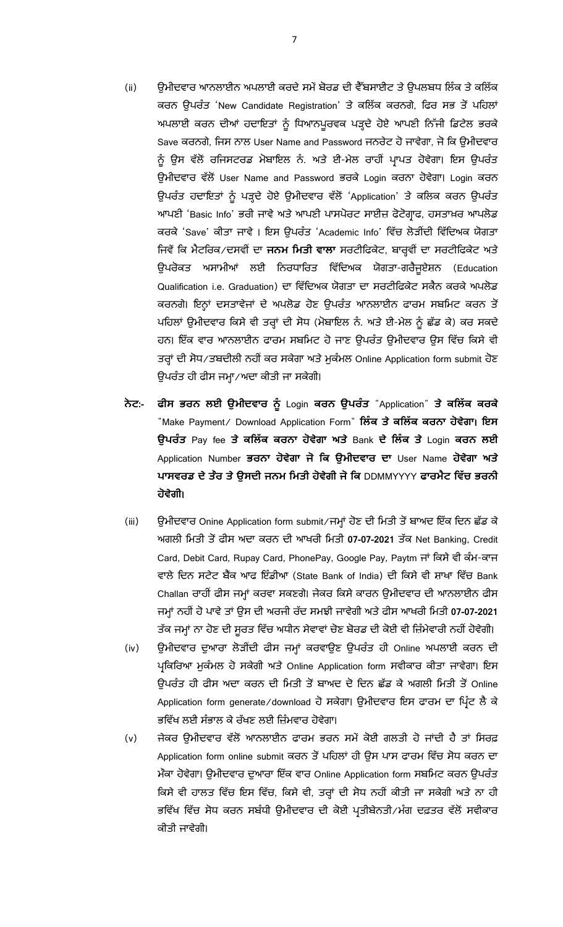- (ii) ਉਮੀਦਵਾਰ ਆਨਲਾਈਨ ਅਪਲਾਈ ਕਰਦੇ ਸਮੇਂ ਬੋਰਡ ਦੀ ਵੈੱਬਸਾਈਟ ਤੇ ਉਪਲਬਧ ਲਿੰਕ ਤੇ ਕਲਿੱਕ ਕਰਨ ਉਪਰੰਤ 'New Candidate Registration' ਤੇ ਕਲਿੱਕ ਕਰਨਗੇ, ਫਿਰ ਸਭ ਤੋਂ ਪਹਿਲਾਂ ਅਪਲਾਈ ਕਰਨ ਦੀਆਂ ਹਦਾਇਤਾਂ ਨੂੰ ਧਿਆਨਪੁਰਵਕ ਪੜ੍ਹਦੇ ਹੋਏ ਆਪਣੀ ਨਿੱਜੀ ਡਿਟੇਲ ਭਰਕੇ Save ਕਰਨਗੇ, ਜਿਸ ਨਾਲ User Name and Password ਜਨਰੇਟ ਹੋ ਜਾਵੇਗਾ, ਜੋ ਕਿ ਉਮੀਦਵਾਰ ਨੂੰ ਉਸ ਵੱਲੋਂ ਰਜਿਸਟਰਡ ਮੋਬਾਇਲ ਨੰ. ਅਤੇ ਈ-ਮੇਲ ਰਾਹੀਂ ਪਾਪਤ ਹੋਵੇਗਾ। ਇਸ ਉਪਰੰਤ ਉਮੀਦਵਾਰ ਵੱਲੋਂ User Name and Password ਭਰਕੇ Login ਕਰਨਾ ਹੋਵੇਗਾ। Login ਕਰਨ ਉਪਰੰਤ ਹਦਾਇਤਾਂ ਨੂੰ ਪੜ੍ਹਦੇ ਹੋਏ ਉਮੀਦਵਾਰ ਵੱਲੋਂ 'Application' ਤੇ ਕਲਿਕ ਕਰਨ ਉਪਰੰਤ ਆਪਣੀ 'Basic Info' ਭਰੀ ਜਾਵੇ ਅਤੇ ਆਪਣੀ ਪਾਸਪੋਰਟ ਸਾਈਜ਼ ਫੋਟੋਗ੍ਰਾਫ, ਹਸਤਾਖ਼ਰ ਆਪਲੋਡ ਕਰਕੇ 'Save' ਕੀਤਾ ਜਾਵੇ । ਇਸ ਉਪਰੰਤ 'Academic Info' ਵਿੱਚ ਲੋੜੀਂਦੀ ਵਿੱਦਿਅਕ ਯੋਗਤਾ ਜਿਵੇਂ ਕਿ ਮੈਟਰਿਕ/ਦਸਵੀਂ ਦਾ **ਜਨਮ ਮਿਤੀ ਵਾਲਾ** ਸਰਟੀਫਿਕੇਟ, ਬਾਰ੍ਹਵੀਂ ਦਾ ਸਰਟੀਫਿਕੇਟ ਅਤੇ ਉਪਰੋਕਤ ਅਸਾਮੀਆਂ ਲਈ ਨਿਰਧਾਰਿਤ ਵਿੱਦਿਅਕ ਯੋਗਤਾ-ਗਰੈਜੁਏਸ਼ਨ (Education Qualification i.e. Graduation) ਦਾ ਵਿੱਦਿਅਕ ਯੋਗਤਾ ਦਾ ਸਰਟੀਫਿਕੇਟ ਸਕੈਨ ਕਰਕੇ ਅਪਲੋਡ ਕਰਨਗੇ। ਇਨ੍ਹਾਂ ਦਸਤਾਵੇਜਾਂ ਦੇ ਅਪਲੋਡ ਹੋਣ ਉਪਰੰਤ ਆਨਲਾਈਨ ਫਾਰਮ ਸਬਮਿਟ ਕਰਨ ਤੋਂ ਪਹਿਲਾਂ ਉਮੀਦਵਾਰ ਕਿਸੇ ਵੀ ਤਰ੍ਹਾਂ ਦੀ ਸੋਧ (ਮੋਬਾਇਲ ਨੰ. ਅਤੇ ਈ-ਮੇਲ ਨੂੰ ਛੱਡ ਕੇ) ਕਰ ਸਕਦੇ ਹਨ। ਇੱਕ ਵਾਰ ਆਨਲਾਈਨ ਫਾਰਮ ਸਬਮਿਟ ਹੋ ਜਾਣ ਉਪਰੰਤ ਉਮੀਦਵਾਰ ਉਸ ਵਿੱਚ ਕਿਸੇ ਵੀ ਤਰ੍ਹਾਂ ਦੀ ਸੋਧ/ਤਬਦੀਲੀ ਨਹੀਂ ਕਰ ਸਕੇਗਾ ਅਤੇ ਮੁਕੰਮਲ Online Application form submit ਹੋਣ ਉਪਰੰਤ ਹੀ ਫੀਸ ਜਮ੍ਹਾ∕ਅਦਾ ਕੀਤੀ ਜਾ ਸਕੇਗੀ।
- **:- ਫੀਸ ਭਰਨ ਲਈ ਉਮੀਦਵਾਰ ਨ ੂੰ** Login **ਕਰਨ ਉਪਰੂੰ ਤ** "Application" **ਤੇ ਕਲਲਿੱ ਕ ਕਰਕੇ** "Make Payment/ Download Application Form" **ਲਲੂੰ ਕ ਤੇਕਲਲਿੱ ਕ ਕਰਨਾ ਹੋਵੇਗਾ**। **ਇਸ ਉਪਰੂੰ ਤ** Pay fee **ਤੇ ਕਲਲਿੱ ਕ ਕਰਨਾ ਹੋਵੇਗਾ ਅਤੇ** Bank **ਦੇ ਲਲੂੰ ਕ ਤੇ** Login **ਕਰਨ ਲਈ** Application Number **ਭਰਨਾ ਹੋਵੇਗਾ ਜੋ ਲਕ ਉਮੀਦਵਾਰ ਦਾ** User Name **ਹੋਵੇਗਾ ਅਤੇ ਪਾਸਵਰਡ ਦੇਤੌਰ ਤੇਉਸਦੀ ਜਨਮ ਲਮਤੀ ਹੋਵੇਗੀ ਜੋਲਕ** DDMMYYYY **ਫਾਰਮੈਟ ਲਵਿੱ ਚ ਭਰਨੀ ਹੋਵੇਗੀ**।
- (iii) ਉਮੀਦਵਾਰ Onine Application form submit∕ ਜਮ੍ਹਾਂ ਹੋਣ ਦੀ ਮਿਤੀ ਤੋਂ ਬਾਅਦ ਇੱਕ ਦਿਨ ਛੱਡ ਕੇ ਅਗਲੀ ਮਿਤੀ ਤੋਂ ਫੀਸ ਅਦਾ ਕਰਨ ਦੀ ਆਖਰੀ ਮਿਤੀ 07-07-2021 ਤੱਕ Net Banking, Credit Card, Debit Card, Rupay Card, PhonePay, Google Pay, Paytm ਜਾਂ ਕਿਸੇ ਵੀ ਕੰਮ-ਕਾਜ ਵਾਲੇ ਦਿਨ ਸਟੇਟ ਬੈਂਕ ਆਫ ਇੰਡੀਆ (State Bank of India) ਦੀ ਕਿਸੇ ਵੀ ਸ਼ਾਖਾ ਵਿੱਚ Bank Challan ਰਾਹੀਂ ਫੀਸ ਜਮ੍ਹਾਂ ਕਰਵਾ ਸਕਣਗੇ। ਜੇਕਰ ਕਿਸੇ ਕਾਰਨ ਉਮੀਦਵਾਰ ਦੀ ਆਨਲਾਈਨ ਫੀਸ ਜਮ੍ਹਾਂ ਨਹੀਂ ਹੋ ਪਾਵੇ ਤਾਂ ਉਸ ਦੀ ਅਰਜੀ ਰੱਦ ਸਮਝੀ ਜਾਵੇਗੀ ਅਤੇ ਫੀਸ ਆਖਰੀ ਮਿਤੀ 07-07-2021 ਤੱਕ ਜਮ੍ਹਾਂ ਨਾ ਹੋਣ ਦੀ ਸੁਰਤ ਵਿੱਚ ਅਧੀਨ ਸੇਵਾਵਾਂ ਚੋਣ ਬੋਰਡ ਦੀ ਕੋਈ ਵੀ ਜ਼ਿੰਮੇਵਾਰੀ ਨਹੀਂ ਹੋਵੇਗੀ।
- (iv) ਉਮੀਦਵਾਰ ਦੁਆਰਾ ਲੋੜੀਂਦੀ ਫੀਸ ਜਮ੍ਹਾਂ ਕਰਵਾਉਣ ਉਪਰੰਤ ਹੀ Online ਅਪਲਾਈ ਕਰਨ ਦੀ ਪ੍ਰਕਿਰਿਆ ਮੁਕੰਮਲ ਹੋ ਸਕੇਗੀ ਅਤੇ Online Application form ਸਵੀਕਾਰ ਕੀਤਾ ਜਾਵੇਗਾ। ਇਸ ਉਪਰੰਤ ਹੀ ਫੀਸ ਅਦਾ ਕਰਨ ਦੀ ਮਿਤੀ ਤੋਂ ਬਾਅਦ ਦੋ ਦਿਨ ਛੱਡ ਕੇ ਅਗਲੀ ਮਿਤੀ ਤੋਂ Online Application form generate/download ਹੋ ਸਕੇਗਾ। ਉਮੀਦਵਾਰ ਇਸ ਫਾਰਮ ਦਾ ਪਿੰਟ ਲੈ ਕੇ ਭਵਿੱਖ ਲਈ ਸੰਭਾਲ ਕੇ ਰੱਖਣ ਲਈ ਜ਼ਿੰਮਵਾਰ ਹੋਵੇਗਾ।
- (v) ਜੇਕਰ ਉਮੀਦਵਾਰ ਵੱਲੋਂ ਆਨਲਾਈਨ ਫਾਰਮ ਭਰਨ ਸਮੇਂ ਕੋਈ ਗਲਤੀ ਹੋ ਜਾਂਦੀ ਹੈ ਤਾਂ ਸਿਰਫ਼ Application form online submit ਕਰਨ ਤੋਂ ਪਹਿਲਾਂ ਹੀ ਉਸ ਪਾਸ ਫਾਰਮ ਵਿੱਚ ਸੋਧ ਕਰਨ ਦਾ ਮੌਕਾ ਹੋਵੇਗਾ। ਉਮੀਦਵਾਰ ਦੁਆਰਾ ਇੱਕ ਵਾਰ Online Application form ਸਬਮਿਟ ਕਰਨ ਉਪਰੰਤ ਕਿਸੇ ਵੀ ਹਾਲਤ ਵਿੱਚ ਇਸ ਵਿੱਚ, ਕਿਸੇ ਵੀ, ਤਰ੍ਹਾਂ ਦੀ ਸੋਧ ਨਹੀਂ ਕੀਤੀ ਜਾ ਸਕੇਗੀ ਅਤੇ ਨਾ ਹੀ ਭਵਿੱਖ ਵਿੱਚ ਸੋਧ ਕਰਨ ਸਬੰਧੀ ਉਮੀਦਵਾਰ ਦੀ ਕੋਈ ਪ੍ਰਤੀਬੇਨਤੀ ∕ਮੰਗ ਦਫ਼ਤਰ ਵੱਲੋਂ ਸਵੀਕਾਰ ਕੀਤੀ ਜਾਵੇਗੀ।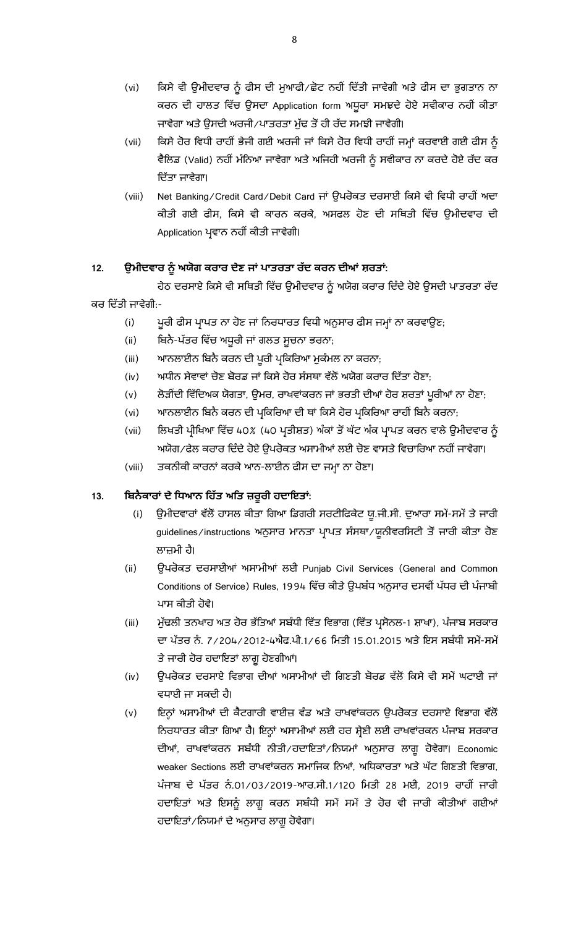- (vi) ਕਿਸੇ ਵੀ ਉਮੀਦਵਾਰ ਨੂੰ ਫੀਸ ਦੀ ਮੁਆਫੀ∕ਛੋਟ ਨਹੀਂ ਦਿੱਤੀ ਜਾਵੇਗੀ ਅਤੇ ਫੀਸ ਦਾ ਭੁਗਤਾਨ ਨਾ ਕਰਨ ਦੀ ਹਾਲਤ ਵਿੱਚ ਉਸਦਾ Application form ਅਧੁਰਾ ਸਮਝਦੇ ਹੋਏ ਸਵੀਕਾਰ ਨਹੀਂ ਕੀਤਾ ਜਾਵੇਗਾ ਅਤੇ ਉਸਦੀ ਅਰਜੀ/ਪਾਤਰਤਾ ਮੁੱਢ ਤੋਂ ਹੀ ਰੱਦ ਸਮਝੀ ਜਾਵੇਗੀ।
- (vii) ਕਿਸੇ ਹੋਰ ਵਿਧੀ ਰਾਹੀਂ ਭੇਜੀ ਗਈ ਅਰਜੀ ਜਾਂ ਕਿਸੇ ਹੋਰ ਵਿਧੀ ਰਾਹੀਂ ਜਮ੍ਹਾਂ ਕਰਵਾਈ ਗਈ ਫੀਸ ਨੂੰ ਵੈਲਿਡ (Valid) ਨਹੀਂ ਮੰਨਿਆ ਜਾਵੇਗਾ ਅਤੇ ਅਜਿਹੀ ਅਰਜੀ ਨੂੰ ਸਵੀਕਾਰ ਨਾ ਕਰਦੇ ਹੋਏ ਰੱਦ ਕਰ ਦਿੱਤਾ ਜਾਵੇਗਾ।
- (viii) Net Banking/Credit Card/Debit Card ਜਾਂ ਉਪਰੋਕਤ ਦਰਸਾਈ ਕਿਸੇ ਵੀ ਵਿਧੀ ਰਾਹੀਂ ਅਦਾ ਕੀਤੀ ਗਈ ਫੀਸ, ਕਿਸੇ ਵੀ ਕਾਰਨ ਕਰਕੇ, ਅਸਫਲ ਹੋਣ ਦੀ ਸਥਿਤੀ ਵਿੱਚ ਉਮੀਦਵਾਰ ਦੀ Application ਪ੍ਰਵਾਨ ਨਹੀਂ ਕੀਤੀ ਜਾਵੇਗੀ।

## 12. ਉਮੀਦਵਾਰ ਨੂੰ ਅਯੋਗ ਕਰਾਰ ਦੇਣ ਜਾਂ ਪਾਤਰਤਾ ਰੱਦ ਕਰਨ ਦੀਆਂ ਸ਼ਰਤਾਂ:

ਹੇਠ ਦਰਸਾਏ ਕਿਸੇ ਵੀ ਸਥਿਤੀ ਵਿੱਚ ਉਮੀਦਵਾਰ ਨੂੰ ਅਯੋਗ ਕਰਾਰ ਦਿੰਦੇ ਹੋਏ ਉਸਦੀ ਪਾਤਰਤਾ ਰੱਦ ਕਰ ਦਿੱਤੀ ਜਾਵੇਗੀ:-

- (i) ਪੂਰੀ ਫੀਸ ਪ੍ਰਾਪਤ ਨਾ ਹੋਣ ਜਾਂ ਨਿਰਧਾਰਤ ਵਿਧੀ ਅਨੁਸਾਰ ਫੀਸ ਜਮ੍ਹਾਂ ਨਾ ਕਰਵਾਉਣ<del>,</del>
- (ii) ਬਿਨੈ-ਪੱਤਰ ਵਿੱਚ ਅਧੁਰੀ ਜਾਂ ਗਲਤ ਸੁਚਨਾ ਭਰਨਾ<del>,</del>
- (iii) ਆਨਲਾਈਨ ਬਿਨੈ ਕਰਨ ਦੀ ਪੂਰੀ ਪ੍ਰਕਿਰਿਆ ਮੁਕੰਮਲ ਨਾ ਕਰਨਾ<del>,</del>
- (iv) ਅਧੀਨ ਸੇਵਾਵਾਂ ਚੋਣ ਬੋਰਡ ਜਾਂ ਕਿਸੇ ਹੋਰ ਸੰਸਥਾ ਵੱਲੋਂ ਅਯੋਗ ਕਰਾਰ ਦਿੱਤਾ ਹੋਣਾ;
- (v) ਲੇੜੀਂਦੀ ਵਿੱਦਿਅਕ ਯੋਗਤਾ, ਉਮਰ, ਰਾਖਵਾਂਕਰਨ ਜਾਂ ਭਰਤੀ ਦੀਆਂ ਹੋਰ ਸ਼ਰਤਾਂ ਪੁਰੀਆਂ ਨਾ ਹੋਣਾ<del>,</del>
- (vi) ਆਨਲਾਈਨ ਬਿਨੈ ਕਰਨ ਦੀ ਪ੍ਰਕਿਰਿਆ ਦੀ ਥਾਂ ਕਿਸੇ ਹੋਰ ਪ੍ਰਕਿਰਿਆ ਰਾਹੀਂ ਬਿਨੈ ਕਰਨਾ<del>,</del>
- (vii) ਲਿਖਤੀ ਪ੍ਰੀਖਿਆ ਵਿੱਚ 40% (40 ਪ੍ਰਤੀਸ਼ਤ) ਅੰਕਾਂ ਤੋਂ ਘੱਟ ਅੰਕ ਪ੍ਰਾਪਤ ਕਰਨ ਵਾਲੇ ਉਮੀਦਵਾਰ ਨੂੰ ਅਯੋਗ/ਫੇਲ ਕਰਾਰ ਦਿੰਦੇ ਹੋਏ ਉਪਰੋਕਤ ਅਸਾਮੀਆਂ ਲਈ ਚੋਣ ਵਾਸਤੇ ਵਿਚਾਰਿਆ ਨਹੀਂ ਜਾਵੇਗਾ।
- (viii) ਤਕਨੀਕੀ ਕਾਰਨਾਂ ਕਰਕੇ ਆਨ-ਲਾਈਨ ਫੀਸ ਦਾ ਜਮ੍ਹਾ ਨਾ ਹੋਣਾ।

## **13. :**

- (i) ਉਮੀਦਵਾਰਾਂ ਵੱਲੋਂ ਹਾਸਲ ਕੀਤਾ ਗਿਆ ਡਿਗਰੀ ਸਰਟੀਫਿਕੇਟ ਯੂ.ਜੀ.ਸੀ. ਦੁਆਰਾ ਸਮੇਂ-ਸਮੇਂ ਤੇ ਜਾਰੀ guidelines/instructions ਅਨੁਸਾਰ ਮਾਨਤਾ ਪ੍ਰਾਪਤ ਸੰਸਥਾ/ਯੂਨੀਵਰਸਿਟੀ ਤੋਂ ਜਾਰੀ ਕੀਤਾ ਹੋਣ ਲਾਜ਼ਮੀ ਹੈ।
- (ii) ਉਪਰੋਕਤ ਦਰਸਾਈਆਂ ਅਸਾਮੀਆਂ ਲਈ Punjab Civil Services (General and Common Conditions of Service) Rules, 1994 ਵਿੱਚ ਕੀਤੇ ਉਪਬੰਧ ਅਨੁਸਾਰ ਦਸਵੀਂ ਪੱਧਰ ਦੀ ਪੰਜਾਬੀ ਪਾਸ ਕੀਤੀ ਹੋਵੇ।
- (iii) ਮੁੱਢਲੀ ਤਨਖਾਹ ਅਤ ਹੋਰ ਭੱਤਿਆਂ ਸਬੰਧੀ ਵਿੱਤ ਵਿਭਾਗ (ਵਿੱਤ ਪ੍ਰਸੋਨਲ-1 ਸ਼ਾਖਾ), ਪੰਜਾਬ ਸਰਕਾਰ ਦਾ ਪੱਤਰ ਨੰ. 7/204/2012-4ਐਫ.ਪੀ.1/66 ਮਿਤੀ 15.01.2015 ਅਤੇ ਇਸ ਸਬੰਧੀ ਸਮੇਂ-ਸਮੇਂ ਤੇ ਜਾਰੀ ਹੋਰ ਹਦਾਇਤਾਂ ਲਾਗੂ ਹੋਣਗੀਆਂ।
- (iv) ਉਪਰੋਕਤ ਦਰਸਾਏ ਵਿਭਾਗ ਦੀਆਂ ਅਸਾਮੀਆਂ ਦੀ ਗਿਣਤੀ ਬੋਰਡ ਵੱਲੋਂ ਕਿਸੇ ਵੀ ਸਮੇਂ ਘਟਾਈ ਜਾਂ ਵਧਾਈ ਜਾ ਸਕਦੀ ਹੈ।
- (v) ਇਨ੍ਹਾਂ ਅਸਾਮੀਆਂ ਦੀ ਕੈਟਗਾਰੀ ਵਾਈਜ਼ ਵੰਡ ਅਤੇ ਰਾਖਵਾਂਕਰਨ ਉਪਰੋਕਤ ਦਰਸਾਏ ਵਿਭਾਗ ਵੱਲੋਂ ਨਿਰਧਾਰਤ ਕੀਤਾ ਗਿਆ ਹੈ। ਇਨ੍ਹਾਂ ਅਸਾਮੀਆਂ ਲਈ ਹਰ ਸ਼੍ਰੇਣੀ ਲਈ ਰਾਖਵਾਂਰਕਨ ਪੰਜਾਬ ਸਰਕਾਰ ਦੀਆਂ, ਰਾਖਵਾਂਕਰਨ ਸਬੰਧੀ ਨੀਤੀ∕ਹਦਾਇਤਾਂ∕ਨਿਯਮਾਂ ਅਨੁਸਾਰ ਲਾਗੁ ਹੋਵੇਗਾ। Economic weaker Sections ਲਈ ਰਾਖਵਾਂਕਰਨ ਸਮਾਜਿਕ ਨਿਆਂ, ਅਧਿਕਾਰਤਾ ਅਤੇ ਘੱਟ ਗਿਣਤੀ ਵਿਭਾਗ, ਪੰਜਾਬ ਦੇ ਪੱਤਰ ਨੰ.01/03/2019-ਆਰ.ਸੀ.1/120 ਮਿਤੀ 28 ਮਈ, 2019 ਰਾਹੀਂ ਜਾਰੀ ਹਦਾਇਤਾਂ ਅਤੇ ਇਸਨੂੰ ਲਾਗੂ ਕਰਨ ਸਬੰਧੀ ਸਮੇਂ ਸਮੇਂ ਤੇ ਹੋਰ ਵੀ ਜਾਰੀ ਕੀਤੀਆਂ ਗਈਆਂ ਹਦਾਇਤਾਂ/ਨਿਯਮਾਂ ਦੇ ਅਨੁਸਾਰ ਲਾਗੂ ਹੋਵੇਗਾ।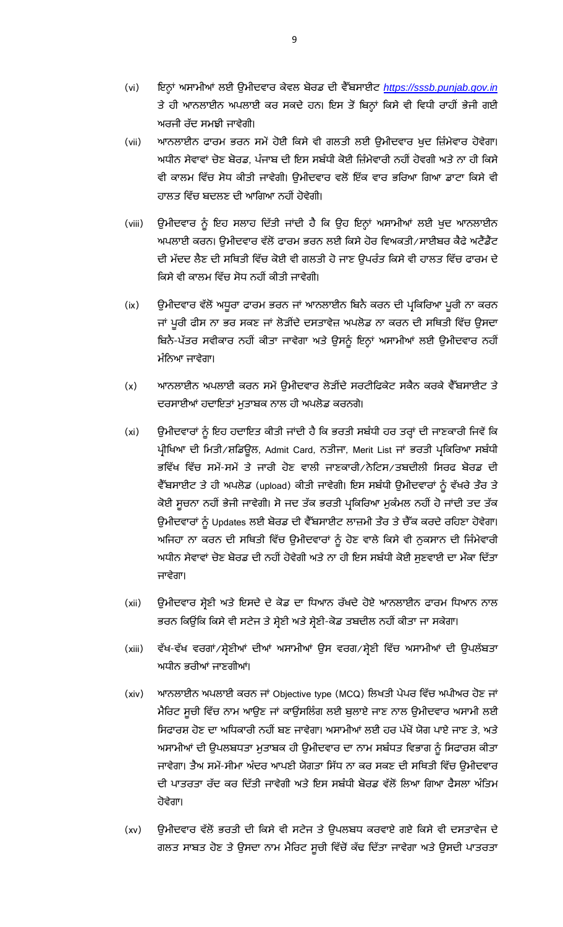- (vi) ਈ ਈ *[https://sssb.punjab.gov.in](https://sssb.punjab.gov.in/)* ਤੇ ਹੀ ਆਨਲਾਈਨ ਅਪਲਾਈ ਕਰ ਸਕਦੇ ਹਨ। ਇਸ ਤੋਂ ਬਿਨ੍ਹਾਂ ਕਿਸੇ ਵੀ ਵਿਧੀ ਰਾਹੀਂ ਭੇਜੀ ਗਈ ਅਰਜੀ ਰੱਦ ਸਮਝੀ ਜਾਵੇਗੀ।
- (vii) ਆਨਲਾਈਨ ਫਾਰਮ ਭਰਨ ਸਮੇਂ ਹੋਈ ਕਿਸੇ ਵੀ ਗਲਤੀ ਲਈ ਉਮੀਦਵਾਰ ਖੁਦ ਜ਼ਿੰਮੇਵਾਰ ਹੋਵੇਗਾ। ਅਧੀਨ ਸੇਵਾਵਾਂ ਚੋਣ ਬੋਰਡ, ਪੰਜਾਬ ਦੀ ਇਸ ਸਬੰਧੀ ਕੋਈ ਜ਼ਿੰਮੇਵਾਰੀ ਨਹੀਂ ਹੋਵਗੀ ਅਤੇ ਨਾ ਹੀ ਕਿਸੇ ਵੀ ਕਾਲਮ ਵਿੱਚ ਸੋਧ ਕੀਤੀ ਜਾਵੇਗੀ। ਉਮੀਦਵਾਰ ਵਲੋਂ ਇੱਕ ਵਾਰ ਭਰਿਆ ਗਿਆ ਡਾਟਾ ਕਿਸੇ ਵੀ ਹਾਲਤ ਵਿੱਚ ਬਦਲਣ ਦੀ ਆਗਿਆ ਨਹੀਂ ਹੋਵੇਗੀ।
- (viii) ਉਮੀਦਵਾਰ ਨੂੰ ਇਹ ਸਲਾਹ ਦਿੱਤੀ ਜਾਂਦੀ ਹੈ ਕਿ ਉਹ ਇਨ੍ਹਾਂ ਅਸਾਮੀਆਂ ਲਈ ਖੁਦ ਆਨਲਾਈਨ ਅਪਲਾਈ ਕਰਨ। ਉਮੀਦਵਾਰ ਵੱਲੋਂ ਫਾਰਮ ਭਰਨ ਲਈ ਕਿਸੇ ਹੋਰ ਵਿਅਕਤੀ/ਸਾਈਬਰ ਕੈਫੇ ਅਟੈਂਡੈਂਟ ਦੀ ਮੱਦਦ ਲੈਣ ਦੀ ਸਥਿਤੀ ਵਿੱਚ ਕੋਈ ਵੀ ਗਲਤੀ ਹੋ ਜਾਣ ਉਪਰੰਤ ਕਿਸੇ ਵੀ ਹਾਲਤ ਵਿੱਚ ਫਾਰਮ ਦੇ ਕਿਸੇ ਵੀ ਕਾਲਮ ਵਿੱਚ ਸੋਧ ਨਹੀਂ ਕੀਤੀ ਜਾਵੇਗੀ।
- (ix) ਉਮੀਦਵਾਰ ਵੱਲੋਂ ਅਧੁਰਾ ਫਾਰਮ ਭਰਨ ਜਾਂ ਆਨਲਾਈਨ ਬਿਨੈ ਕਰਨ ਦੀ ਪ੍ਰਕਿਰਿਆ ਪੁਰੀ ਨਾ ਕਰਨ ਜਾਂ ਪੂਰੀ ਫੀਸ ਨਾ ਭਰ ਸਕਣ ਜਾਂ ਲੋੜੀਂਦੇ ਦਸਤਾਵੇਜ਼ ਅਪਲੋਡ ਨਾ ਕਰਨ ਦੀ ਸਥਿਤੀ ਵਿੱਚ ਉਸਦਾ ਬਿਨੈ-ਪੱਤਰ ਸਵੀਕਾਰ ਨਹੀਂ ਕੀਤਾ ਜਾਵੇਗਾ ਅਤੇ ਉਸਨੂੰ ਇਨ੍ਹਾਂ ਅਸਾਮੀਆਂ ਲਈ ਉਮੀਦਵਾਰ ਨਹੀਂ ਮੰਨਿਆ ਜਾਵੇਗਾ।
- (x) ਆਨਲਾਈਨ ਅਪਲਾਈ ਕਰਨ ਸਮੇਂ ੳਮੀਦਵਾਰ ਲੋੜੀਂਦੇ ਸਰਟੀਫਿਕੇਟ ਸਕੈਨ ਕਰਕੇ ਵੈੱਬਸਾਈਟ ਤੇ ਦਰਸਾਈਆਂ ਹਦਾਇਤਾਂ ਮੁਤਾਬਕ ਨਾਲ ਹੀ ਅਪਲੋਡ ਕਰਨਗੇ।
- (xi) ਉਮੀਦਵਾਰਾਂ ਨੂੰ ਇਹ ਹਦਾਇਤ ਕੀਤੀ ਜਾਂਦੀ ਹੈ ਕਿ ਭਰਤੀ ਸਬੰਧੀ ਹਰ ਤਰ੍ਹਾਂ ਦੀ ਜਾਣਕਾਰੀ ਜਿਵੇਂ ਕਿ ਪ੍ਰੀਖਿਆ ਦੀ ਮਿਤੀ/ਸ਼ਡਿਊਲ, Admit Card, ਨਤੀਜਾ, Merit List ਜਾਂ ਭਰਤੀ ਪ੍ਰਕਿਰਿਆ ਸਬੰਧੀ ਭਵਿੱਖ ਵਿੱਚ ਸਮੇਂ-ਸਮੇਂ ਤੇ ਜਾਰੀ ਹੋਣ ਵਾਲੀ ਜਾਣਕਾਰੀ/ਨੋਟਿਸ/ਤਬਦੀਲੀ ਸਿਰਫ ਬੋਰਡ ਦੀ ਵੈੱਬਸਾਈਟ ਤੇ ਹੀ ਅਪਲੋਡ (upload) ਕੀਤੀ ਜਾਵੇਗੀ। ਇਸ ਸਬੰਧੀ ਉਮੀਦਵਾਰਾਂ ਨੂੰ ਵੱਖਰੇ ਤੌਰ ਤੇ ਕੋਈ ਸੂਚਨਾ ਨਹੀਂ ਭੇਜੀ ਜਾਵੇਗੀ। ਸੋ ਜਦ ਤੱਕ ਭਰਤੀ ਪ੍ਰਕਿਰਿਆ ਮੁਕੰਮਲ ਨਹੀਂ ਹੋ ਜਾਂਦੀ ਤਦ ਤੱਕ ਉਮੀਦਵਾਰਾਂ ਨੂੰ Updates ਲਈ ਬੋਰਡ ਦੀ ਵੈੱਬਸਾਈਟ ਲਾਜ਼ਮੀ ਤੌਰ ਤੇ ਚੈੱਕ ਕਰਦੇ ਰਹਿਣਾ ਹੋਵੇਗਾ। ਅਜਿਹਾ ਨਾ ਕਰਨ ਦੀ ਸਥਿਤੀ ਵਿੱਚ ਉਮੀਦਵਾਰਾਂ ਨੂੰ ਹੋਣ ਵਾਲੇ ਕਿਸੇ ਵੀ ਨੁਕਸਾਨ ਦੀ ਜਿੰਮੇਵਾਰੀ ਅਧੀਨ ਸੇਵਾਵਾਂ ਚੋਣ ਬੋਰਡ ਦੀ ਨਹੀਂ ਹੋਵੇਗੀ ਅਤੇ ਨਾ ਹੀ ਇਸ ਸਬੰਧੀ ਕੋਈ ਸੁਣਵਾਈ ਦਾ ਮੌਕਾ ਦਿੱਤਾ ਜਾਵੇਗਾ।
- (xii) ਉਮੀਦਵਾਰ ਸ਼੍ਰੇਣੀ ਅਤੇ ਇਸਦੇ ਦੇ ਕੋਡ ਦਾ ਧਿਆਨ ਰੱਖਦੇ ਹੋਏ ਆਨਲਾਈਨ ਫਾਰਮ ਧਿਆਨ ਨਾਲ ਭਰਨ ਕਿਉਂਕਿ ਕਿਸੇ ਵੀ ਸਟੇਜ ਤੇ ਸ਼੍ਰੇਣੀ ਅਤੇ ਸ਼੍ਰੇਣੀ-ਕੋਡ ਤਬਦੀਲ ਨਹੀਂ ਕੀਤਾ ਜਾ ਸਕੇਗਾ।
- (xiii) ਵੱਖ-ਵੱਖ ਵਰਗਾਂ/ਸ਼੍ਰੇਣੀਆਂ ਦੀਆਂ ਅਸਾਮੀਆਂ ਉਸ ਵਰਗ/ਸ਼੍ਰੇਣੀ ਵਿੱਚ ਅਸਾਮੀਆਂ ਦੀ ਉਪਲੱਬਤਾ ਅਧੀਨ ਭਰੀਆਂ ਜਾਣਗੀਆਂ।
- (xiv) ਆਨਲਾਈਨ ਅਪਲਾਈ ਕਰਨ ਜਾਂ Objective type (MCQ) ਲਿਖਤੀ ਪੇਪਰ ਵਿੱਚ ਅਪੀਅਰ ਹੋਣ ਜਾਂ ਮੈਰਿਟ ਸੂਚੀ ਵਿੱਚ ਨਾਮ ਆਉਣ ਜਾਂ ਕਾਊਂਸਲਿੰਗ ਲਈ ਬੁਲਾਏ ਜਾਣ ਨਾਲ ਉਮੀਦਵਾਰ ਅਸਾਮੀ ਲਈ ਸਿਫਾਰਸ਼ ਹੋਣ ਦਾ ਅਧਿਕਾਰੀ ਨਹੀਂ ਬਣ ਜਾਵੇਗਾ। ਅਸਾਮੀਆਂ ਲਈ ਹਰ ਪੱਖੋਂ ਯੋਗ ਪਾਏ ਜਾਣ ਤੇ, ਅਤੇ ਅਸਾਮੀਆਂ ਦੀ ਉਪਲਬਧਤਾ ਮੁਤਾਬਕ ਹੀ ਉਮੀਦਵਾਰ ਦਾ ਨਾਮ ਸਬੰਧਤ ਵਿਭਾਗ ਨੂੰ ਸਿਫਾਰਸ਼ ਕੀਤਾ ਜਾਵੇਗਾ। ਤੈਅ ਸਮੇਂ-ਸੀਮਾ ਅੰਦਰ ਆਪਣੀ ਯੋਗਤਾ ਸਿੱਧ ਨਾ ਕਰ ਸਕਣ ਦੀ ਸਥਿਤੀ ਵਿੱਚ ੳਮੀਦਵਾਰ ਦੀ ਪਾਤਰਤਾ ਰੱਦ ਕਰ ਦਿੱਤੀ ਜਾਵੇਗੀ ਅਤੇ ਇਸ ਸਬੰਧੀ ਬੋਰਡ ਵੱਲੋਂ ਲਿਆ ਗਿਆ ਫੈਸਲਾ ਅੰਤਿਮ ਹੋਵੇਗਾ।
- (xv) ਉਮੀਦਵਾਰ ਵੱਲੋਂ ਭਰਤੀ ਦੀ ਕਿਸੇ ਵੀ ਸਟੇਜ ਤੇ ਉਪਲਬਧ ਕਰਵਾਏ ਗਏ ਕਿਸੇ ਵੀ ਦਸਤਾਵੇਜ ਦੇ ਗਲਤ ਸਾਬਤ ਹੋਣ ਤੇ ਉਸਦਾ ਨਾਮ ਮੈਰਿਟ ਸੁਚੀ ਵਿੱਚੋਂ ਕੱਢ ਦਿੱਤਾ ਜਾਵੇਗਾ ਅਤੇ ਉਸਦੀ ਪਾਤਰਤਾ